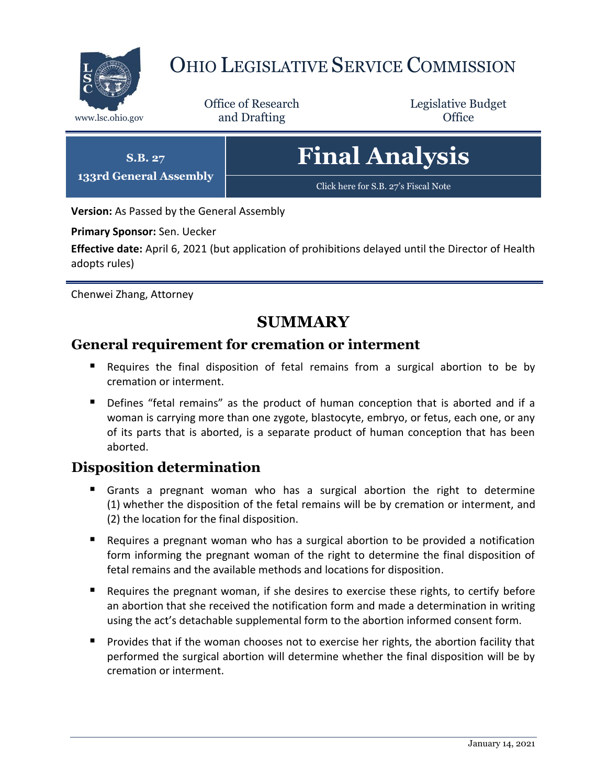

# OHIO LEGISLATIVE SERVICE COMMISSION

Office of Research www.lsc.ohio.gov **and Drafting Office** 

Legislative Budget

**S.B. 27 133rd General Assembly Final Analysis** [Click here for S.B. 27](https://www.legislature.ohio.gov/legislation/legislation-documents?id=GA133-SB-27)'s Fiscal Note

**Version:** As Passed by the General Assembly

**Primary Sponsor:** Sen. Uecker

**Effective date:** April 6, 2021 (but application of prohibitions delayed until the Director of Health adopts rules)

Chenwei Zhang, Attorney

# **SUMMARY**

# **General requirement for cremation or interment**

- Requires the final disposition of fetal remains from a surgical abortion to be by cremation or interment.
- Defines "fetal remains" as the product of human conception that is aborted and if a woman is carrying more than one zygote, blastocyte, embryo, or fetus, each one, or any of its parts that is aborted, is a separate product of human conception that has been aborted.

# **Disposition determination**

- Grants a pregnant woman who has a surgical abortion the right to determine (1) whether the disposition of the fetal remains will be by cremation or interment, and (2) the location for the final disposition.
- Requires a pregnant woman who has a surgical abortion to be provided a notification form informing the pregnant woman of the right to determine the final disposition of fetal remains and the available methods and locations for disposition.
- **Requires the pregnant woman, if she desires to exercise these rights, to certify before** an abortion that she received the notification form and made a determination in writing using the act's detachable supplemental form to the abortion informed consent form.
- **Provides that if the woman chooses not to exercise her rights, the abortion facility that** performed the surgical abortion will determine whether the final disposition will be by cremation or interment.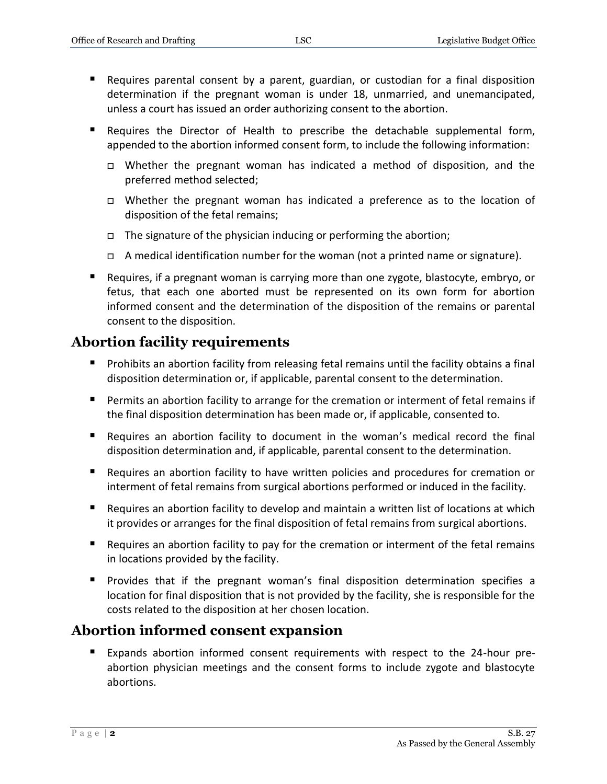- Requires parental consent by a parent, guardian, or custodian for a final disposition determination if the pregnant woman is under 18, unmarried, and unemancipated, unless a court has issued an order authorizing consent to the abortion.
- Requires the Director of Health to prescribe the detachable supplemental form, appended to the abortion informed consent form, to include the following information:
	- $\Box$  Whether the pregnant woman has indicated a method of disposition, and the preferred method selected;
	- Whether the pregnant woman has indicated a preference as to the location of disposition of the fetal remains;
	- $\Box$  The signature of the physician inducing or performing the abortion;
	- A medical identification number for the woman (not a printed name or signature).
- Requires, if a pregnant woman is carrying more than one zygote, blastocyte, embryo, or fetus, that each one aborted must be represented on its own form for abortion informed consent and the determination of the disposition of the remains or parental consent to the disposition.

# **Abortion facility requirements**

- **Prohibits an abortion facility from releasing fetal remains until the facility obtains a final** disposition determination or, if applicable, parental consent to the determination.
- Permits an abortion facility to arrange for the cremation or interment of fetal remains if the final disposition determination has been made or, if applicable, consented to.
- Requires an abortion facility to document in the woman's medical record the final disposition determination and, if applicable, parental consent to the determination.
- Requires an abortion facility to have written policies and procedures for cremation or interment of fetal remains from surgical abortions performed or induced in the facility.
- Requires an abortion facility to develop and maintain a written list of locations at which it provides or arranges for the final disposition of fetal remains from surgical abortions.
- **E** Requires an abortion facility to pay for the cremation or interment of the fetal remains in locations provided by the facility.
- **Provides that if the pregnant woman's final disposition determination specifies a** location for final disposition that is not provided by the facility, she is responsible for the costs related to the disposition at her chosen location.

# **Abortion informed consent expansion**

 Expands abortion informed consent requirements with respect to the 24-hour preabortion physician meetings and the consent forms to include zygote and blastocyte abortions.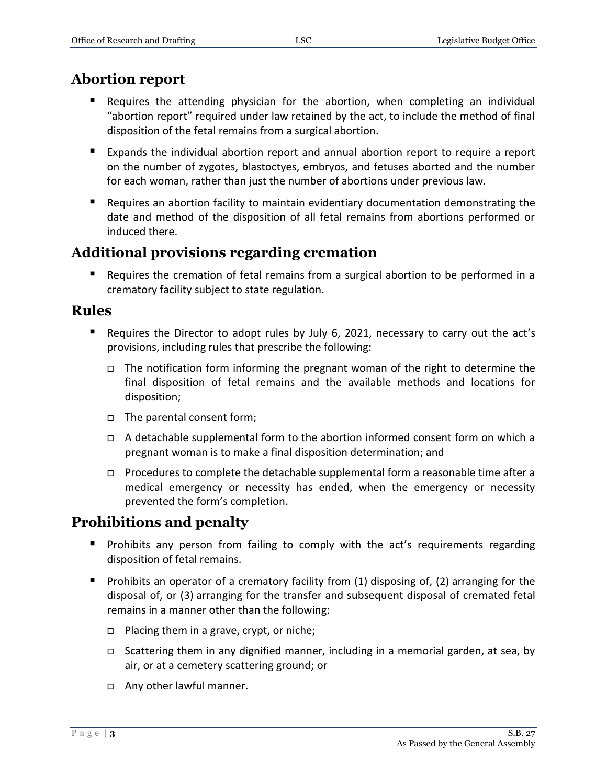# **Abortion report**

- Requires the attending physician for the abortion, when completing an individual "abortion report" required under law retained by the act, to include the method of final disposition of the fetal remains from a surgical abortion.
- Expands the individual abortion report and annual abortion report to require a report on the number of zygotes, blastoctyes, embryos, and fetuses aborted and the number for each woman, rather than just the number of abortions under previous law.
- Requires an abortion facility to maintain evidentiary documentation demonstrating the date and method of the disposition of all fetal remains from abortions performed or induced there.

# **Additional provisions regarding cremation**

**Requires the cremation of fetal remains from a surgical abortion to be performed in a** crematory facility subject to state regulation.

# **Rules**

- Requires the Director to adopt rules by July 6, 2021, necessary to carry out the act's provisions, including rules that prescribe the following:
	- $\Box$  The notification form informing the pregnant woman of the right to determine the final disposition of fetal remains and the available methods and locations for disposition;
	- The parental consent form;
	- $\Box$  A detachable supplemental form to the abortion informed consent form on which a pregnant woman is to make a final disposition determination; and
	- □ Procedures to complete the detachable supplemental form a reasonable time after a medical emergency or necessity has ended, when the emergency or necessity prevented the form's completion.

# **Prohibitions and penalty**

- **Prohibits any person from failing to comply with the act's requirements regarding** disposition of fetal remains.
- **Prohibits an operator of a crematory facility from (1) disposing of, (2) arranging for the** disposal of, or (3) arranging for the transfer and subsequent disposal of cremated fetal remains in a manner other than the following:
	- $\Box$  Placing them in a grave, crypt, or niche;
	- Scattering them in any dignified manner, including in a memorial garden, at sea, by air, or at a cemetery scattering ground; or
	- □ Any other lawful manner.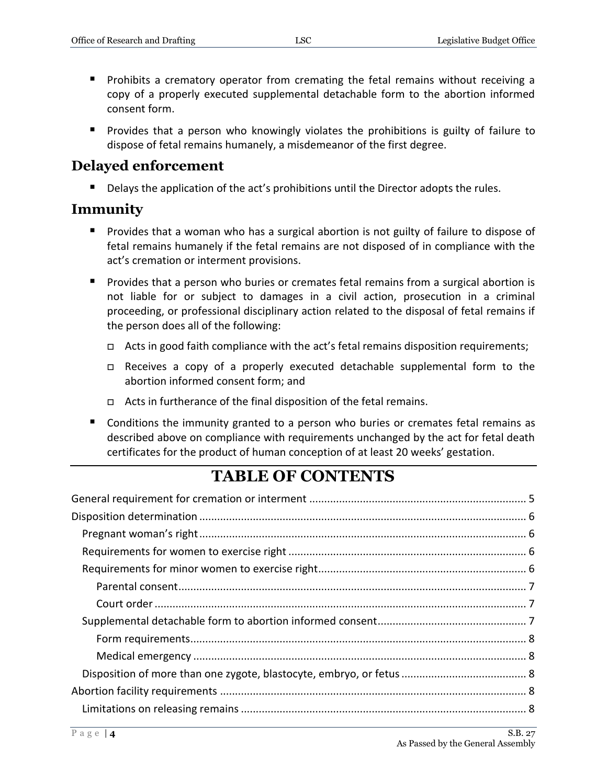- **Prohibits a crematory operator from cremating the fetal remains without receiving a** copy of a properly executed supplemental detachable form to the abortion informed consent form.
- **Provides that a person who knowingly violates the prohibitions is guilty of failure to** dispose of fetal remains humanely, a misdemeanor of the first degree.

# **Delayed enforcement**

Delays the application of the act's prohibitions until the Director adopts the rules.

# **Immunity**

- **Provides that a woman who has a surgical abortion is not guilty of failure to dispose of** fetal remains humanely if the fetal remains are not disposed of in compliance with the act's cremation or interment provisions.
- **Provides that a person who buries or cremates fetal remains from a surgical abortion is** not liable for or subject to damages in a civil action, prosecution in a criminal proceeding, or professional disciplinary action related to the disposal of fetal remains if the person does all of the following:
	- $\Box$  Acts in good faith compliance with the act's fetal remains disposition requirements;
	- □ Receives a copy of a properly executed detachable supplemental form to the abortion informed consent form; and
	- Acts in furtherance of the final disposition of the fetal remains.
- **Conditions the immunity granted to a person who buries or cremates fetal remains as** described above on compliance with requirements unchanged by the act for fetal death certificates for the product of human conception of at least 20 weeks' gestation.

# **TABLE OF CONTENTS**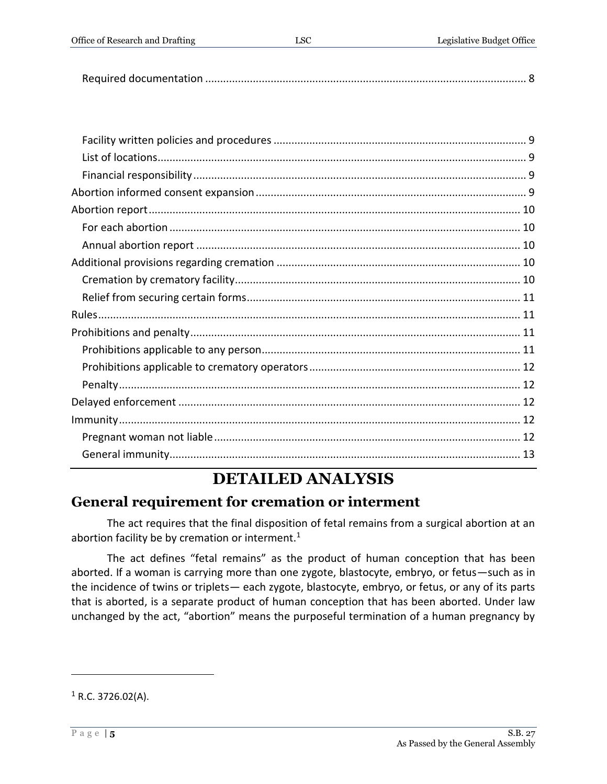Office of Research and Drafting LSC Legislative Budget Office

|--|--|

# **DETAILED ANALYSIS**

# <span id="page-4-0"></span>**General requirement for cremation or interment**

The act requires that the final disposition of fetal remains from a surgical abortion at an abortion facility be by cremation or interment. $1$ 

The act defines "fetal remains" as the product of human conception that has been aborted. If a woman is carrying more than one zygote, blastocyte, embryo, or fetus—such as in the incidence of twins or triplets— each zygote, blastocyte, embryo, or fetus, or any of its parts that is aborted, is a separate product of human conception that has been aborted. Under law unchanged by the act, "abortion" means the purposeful termination of a human pregnancy by

 $1$  R.C. 3726.02(A).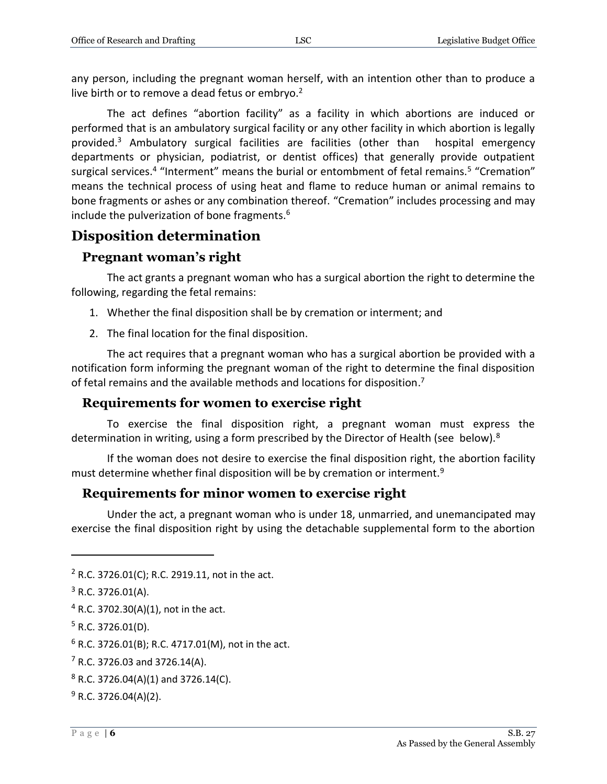any person, including the pregnant woman herself, with an intention other than to produce a live birth or to remove a dead fetus or embryo.<sup>2</sup>

The act defines "abortion facility" as a facility in which abortions are induced or performed that is an ambulatory surgical facility or any other facility in which abortion is legally provided.<sup>3</sup> Ambulatory surgical facilities are facilities (other than hospital emergency departments or physician, podiatrist, or dentist offices) that generally provide outpatient surgical services.<sup>4</sup> "Interment" means the burial or entombment of fetal remains.<sup>5</sup> "Cremation" means the technical process of using heat and flame to reduce human or animal remains to bone fragments or ashes or any combination thereof. "Cremation" includes processing and may include the pulverization of bone fragments.<sup>6</sup>

# <span id="page-5-0"></span>**Disposition determination**

# <span id="page-5-1"></span>**Pregnant woman's right**

The act grants a pregnant woman who has a surgical abortion the right to determine the following, regarding the fetal remains:

- 1. Whether the final disposition shall be by cremation or interment; and
- 2. The final location for the final disposition.

The act requires that a pregnant woman who has a surgical abortion be provided with a notification form informing the pregnant woman of the right to determine the final disposition of fetal remains and the available methods and locations for disposition.<sup>7</sup>

# <span id="page-5-2"></span>**Requirements for women to exercise right**

To exercise the final disposition right, a pregnant woman must express the determination in writing, using a form prescribed by the Director of Health (see below).<sup>8</sup>

If the woman does not desire to exercise the final disposition right, the abortion facility must determine whether final disposition will be by cremation or interment.<sup>9</sup>

#### <span id="page-5-3"></span>**Requirements for minor women to exercise right**

Under the act, a pregnant woman who is under 18, unmarried, and unemancipated may exercise the final disposition right by using the detachable supplemental form to the abortion

 $\overline{a}$ 

 $8$  R.C. 3726.04(A)(1) and 3726.14(C).

<sup>2</sup> R.C. 3726.01(C); R.C. 2919.11, not in the act.

 $3$  R.C. 3726.01(A).

 $4$  R.C. 3702.30(A)(1), not in the act.

 $5$  R.C. 3726.01(D).

 $6$  R.C. 3726.01(B); R.C. 4717.01(M), not in the act.

 $7$  R.C. 3726.03 and 3726.14(A).

 $9$  R.C. 3726.04(A)(2).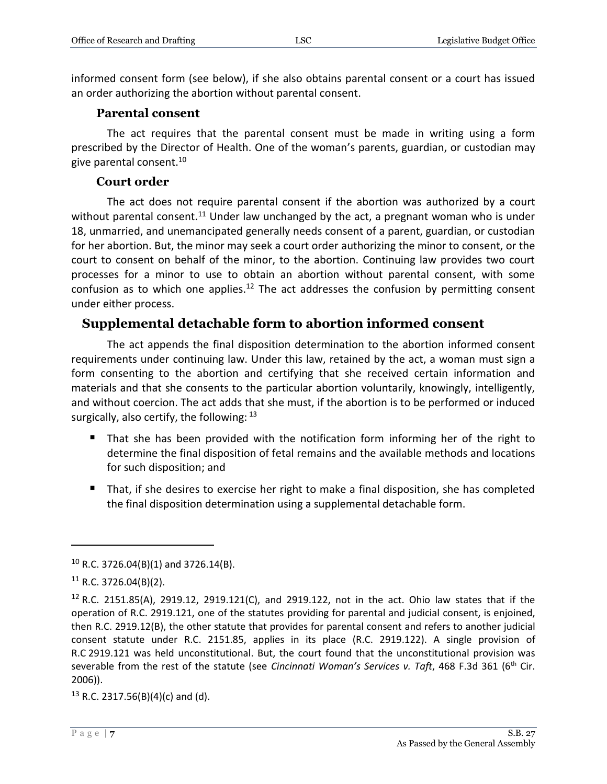informed consent form (see below), if she also obtains parental consent or a court has issued an order authorizing the abortion without parental consent.

#### **Parental consent**

<span id="page-6-0"></span>The act requires that the parental consent must be made in writing using a form prescribed by the Director of Health. One of the woman's parents, guardian, or custodian may give parental consent.<sup>10</sup>

#### **Court order**

<span id="page-6-1"></span>The act does not require parental consent if the abortion was authorized by a court without parental consent.<sup>11</sup> Under law unchanged by the act, a pregnant woman who is under 18, unmarried, and unemancipated generally needs consent of a parent, guardian, or custodian for her abortion. But, the minor may seek a court order authorizing the minor to consent, or the court to consent on behalf of the minor, to the abortion. Continuing law provides two court processes for a minor to use to obtain an abortion without parental consent, with some confusion as to which one applies.<sup>12</sup> The act addresses the confusion by permitting consent under either process.

#### <span id="page-6-2"></span>**Supplemental detachable form to abortion informed consent**

The act appends the final disposition determination to the abortion informed consent requirements under continuing law. Under this law, retained by the act, a woman must sign a form consenting to the abortion and certifying that she received certain information and materials and that she consents to the particular abortion voluntarily, knowingly, intelligently, and without coercion. The act adds that she must, if the abortion is to be performed or induced surgically, also certify, the following:  $13$ 

- That she has been provided with the notification form informing her of the right to determine the final disposition of fetal remains and the available methods and locations for such disposition; and
- That, if she desires to exercise her right to make a final disposition, she has completed the final disposition determination using a supplemental detachable form.

 $\overline{a}$ 

 $13$  R.C. 2317.56(B)(4)(c) and (d).

 $10$  R.C. 3726.04(B)(1) and 3726.14(B).

 $11$  R.C. 3726.04(B)(2).

 $12$  R.C. 2151.85(A), 2919.12, 2919.121(C), and 2919.122, not in the act. Ohio law states that if the operation of R.C. 2919.121, one of the statutes providing for parental and judicial consent, is enjoined, then R.C. 2919.12(B), the other statute that provides for parental consent and refers to another judicial consent statute under R.C. 2151.85, applies in its place (R.C. 2919.122). A single provision of R.C 2919.121 was held unconstitutional. But, the court found that the unconstitutional provision was severable from the rest of the statute (see *Cincinnati Woman's Services v. Taft*, 468 F.3d 361 (6th Cir. 2006)).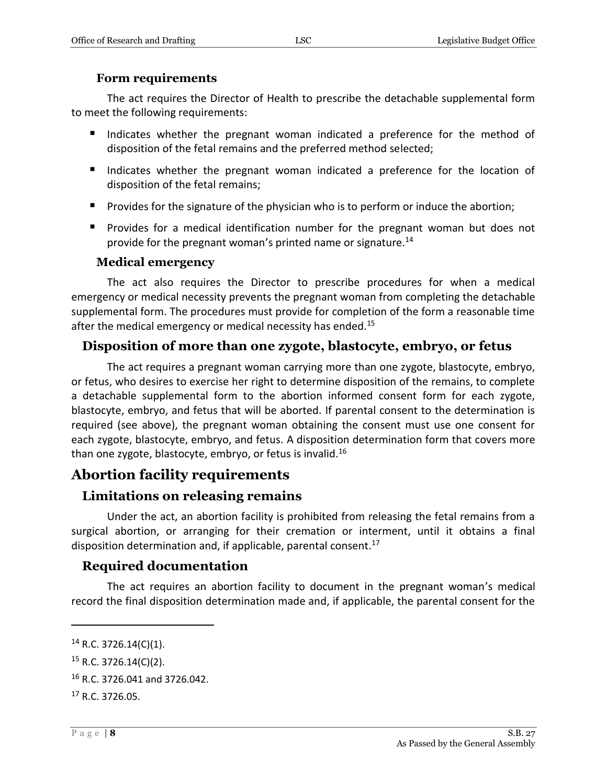#### **Form requirements**

<span id="page-7-0"></span>The act requires the Director of Health to prescribe the detachable supplemental form to meet the following requirements:

- Indicates whether the pregnant woman indicated a preference for the method of disposition of the fetal remains and the preferred method selected;
- Indicates whether the pregnant woman indicated a preference for the location of disposition of the fetal remains;
- **Provides for the signature of the physician who is to perform or induce the abortion;**
- **Provides for a medical identification number for the pregnant woman but does not** provide for the pregnant woman's printed name or signature.<sup>14</sup>

#### **Medical emergency**

<span id="page-7-1"></span>The act also requires the Director to prescribe procedures for when a medical emergency or medical necessity prevents the pregnant woman from completing the detachable supplemental form. The procedures must provide for completion of the form a reasonable time after the medical emergency or medical necessity has ended.<sup>15</sup>

#### <span id="page-7-2"></span>**Disposition of more than one zygote, blastocyte, embryo, or fetus**

The act requires a pregnant woman carrying more than one zygote, blastocyte, embryo, or fetus, who desires to exercise her right to determine disposition of the remains, to complete a detachable supplemental form to the abortion informed consent form for each zygote, blastocyte, embryo, and fetus that will be aborted. If parental consent to the determination is required (see above), the pregnant woman obtaining the consent must use one consent for each zygote, blastocyte, embryo, and fetus. A disposition determination form that covers more than one zygote, blastocyte, embryo, or fetus is invalid.<sup>16</sup>

# <span id="page-7-3"></span>**Abortion facility requirements**

#### <span id="page-7-4"></span>**Limitations on releasing remains**

Under the act, an abortion facility is prohibited from releasing the fetal remains from a surgical abortion, or arranging for their cremation or interment, until it obtains a final disposition determination and, if applicable, parental consent.<sup>17</sup>

#### <span id="page-7-5"></span>**Required documentation**

The act requires an abortion facility to document in the pregnant woman's medical record the final disposition determination made and, if applicable, the parental consent for the

 $14$  R.C. 3726.14(C)(1).

 $15$  R.C. 3726.14(C)(2).

 $16$  R.C. 3726.041 and 3726.042.

<sup>&</sup>lt;sup>17</sup> R.C. 3726.05.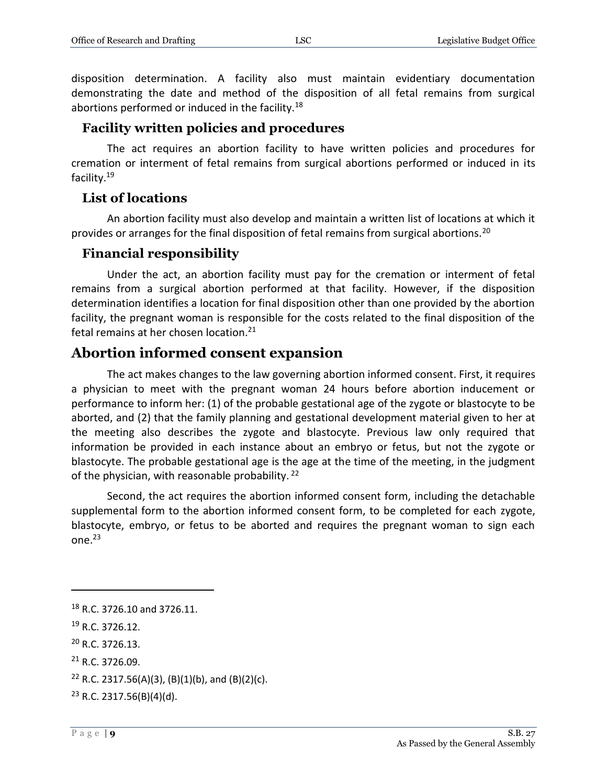disposition determination. A facility also must maintain evidentiary documentation demonstrating the date and method of the disposition of all fetal remains from surgical abortions performed or induced in the facility.<sup>18</sup>

#### <span id="page-8-0"></span>**Facility written policies and procedures**

The act requires an abortion facility to have written policies and procedures for cremation or interment of fetal remains from surgical abortions performed or induced in its facility.<sup>19</sup>

#### <span id="page-8-1"></span>**List of locations**

An abortion facility must also develop and maintain a written list of locations at which it provides or arranges for the final disposition of fetal remains from surgical abortions.<sup>20</sup>

#### <span id="page-8-2"></span>**Financial responsibility**

Under the act, an abortion facility must pay for the cremation or interment of fetal remains from a surgical abortion performed at that facility. However, if the disposition determination identifies a location for final disposition other than one provided by the abortion facility, the pregnant woman is responsible for the costs related to the final disposition of the fetal remains at her chosen location.<sup>21</sup>

# <span id="page-8-3"></span>**Abortion informed consent expansion**

The act makes changes to the law governing abortion informed consent. First, it requires a physician to meet with the pregnant woman 24 hours before abortion inducement or performance to inform her: (1) of the probable gestational age of the zygote or blastocyte to be aborted, and (2) that the family planning and gestational development material given to her at the meeting also describes the zygote and blastocyte. Previous law only required that information be provided in each instance about an embryo or fetus, but not the zygote or blastocyte. The probable gestational age is the age at the time of the meeting, in the judgment of the physician, with reasonable probability.  $22$ 

Second, the act requires the abortion informed consent form, including the detachable supplemental form to the abortion informed consent form, to be completed for each zygote, blastocyte, embryo, or fetus to be aborted and requires the pregnant woman to sign each one.<sup>23</sup>

<sup>18</sup> R.C. 3726.10 and 3726.11. <sup>19</sup> R.C. 3726.12.  $20$  R.C. 3726.13.  $21 R.C. 3726.09.$ <sup>22</sup> R.C. 2317.56(A)(3), (B)(1)(b), and (B)(2)(c).

 $23$  R.C. 2317.56(B)(4)(d).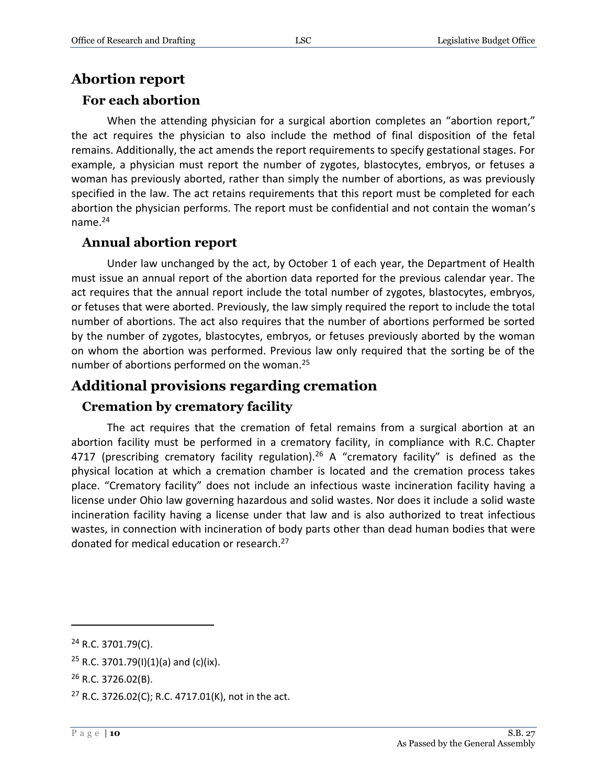# <span id="page-9-0"></span>**Abortion report**

### <span id="page-9-1"></span>**For each abortion**

When the attending physician for a surgical abortion completes an "abortion report," the act requires the physician to also include the method of final disposition of the fetal remains. Additionally, the act amends the report requirements to specify gestational stages. For example, a physician must report the number of zygotes, blastocytes, embryos, or fetuses a woman has previously aborted, rather than simply the number of abortions, as was previously specified in the law. The act retains requirements that this report must be completed for each abortion the physician performs. The report must be confidential and not contain the woman's name. $24$ 

#### <span id="page-9-2"></span>**Annual abortion report**

Under law unchanged by the act, by October 1 of each year, the Department of Health must issue an annual report of the abortion data reported for the previous calendar year. The act requires that the annual report include the total number of zygotes, blastocytes, embryos, or fetuses that were aborted. Previously, the law simply required the report to include the total number of abortions. The act also requires that the number of abortions performed be sorted by the number of zygotes, blastocytes, embryos, or fetuses previously aborted by the woman on whom the abortion was performed. Previous law only required that the sorting be of the number of abortions performed on the woman.<sup>25</sup>

# <span id="page-9-3"></span>**Additional provisions regarding cremation**

# <span id="page-9-4"></span>**Cremation by crematory facility**

The act requires that the cremation of fetal remains from a surgical abortion at an abortion facility must be performed in a crematory facility, in compliance with R.C. Chapter 4717 (prescribing crematory facility regulation).<sup>26</sup> A "crematory facility" is defined as the physical location at which a cremation chamber is located and the cremation process takes place. "Crematory facility" does not include an infectious waste incineration facility having a license under Ohio law governing hazardous and solid wastes. Nor does it include a solid waste incineration facility having a license under that law and is also authorized to treat infectious wastes, in connection with incineration of body parts other than dead human bodies that were donated for medical education or research.<sup>27</sup>

<sup>24</sup> R.C. 3701.79(C).

<sup>&</sup>lt;sup>25</sup> R.C. 3701.79(I)(1)(a) and (c)(ix).

<sup>26</sup> R.C. 3726.02(B).

<sup>&</sup>lt;sup>27</sup> R.C. 3726.02(C); R.C. 4717.01(K), not in the act.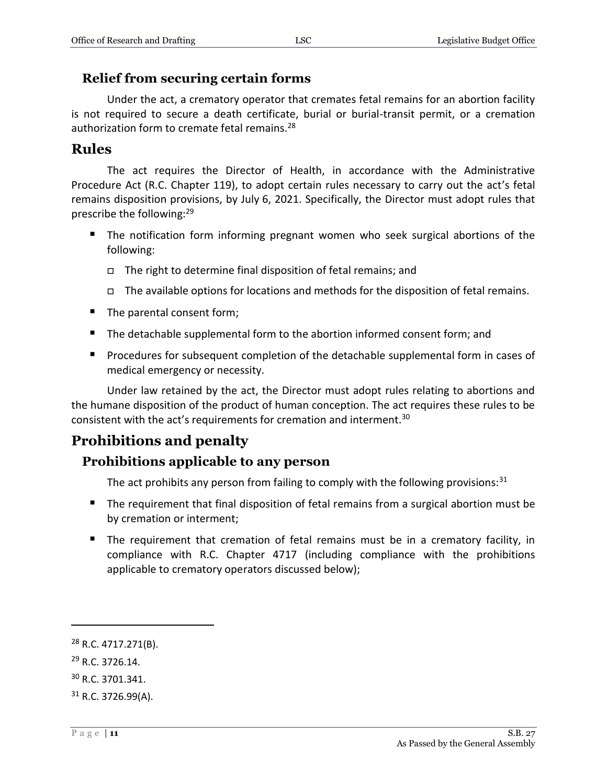#### <span id="page-10-0"></span>**Relief from securing certain forms**

Under the act, a crematory operator that cremates fetal remains for an abortion facility is not required to secure a death certificate, burial or burial-transit permit, or a cremation authorization form to cremate fetal remains.<sup>28</sup>

# <span id="page-10-1"></span>**Rules**

The act requires the Director of Health, in accordance with the Administrative Procedure Act (R.C. Chapter 119), to adopt certain rules necessary to carry out the act's fetal remains disposition provisions, by July 6, 2021. Specifically, the Director must adopt rules that prescribe the following:<sup>29</sup>

- The notification form informing pregnant women who seek surgical abortions of the following:
	- The right to determine final disposition of fetal remains; and
	- $\Box$  The available options for locations and methods for the disposition of fetal remains.
- The parental consent form;
- The detachable supplemental form to the abortion informed consent form; and
- **Procedures for subsequent completion of the detachable supplemental form in cases of** medical emergency or necessity.

Under law retained by the act, the Director must adopt rules relating to abortions and the humane disposition of the product of human conception. The act requires these rules to be consistent with the act's requirements for cremation and interment.<sup>30</sup>

# <span id="page-10-2"></span>**Prohibitions and penalty**

#### <span id="page-10-3"></span>**Prohibitions applicable to any person**

The act prohibits any person from failing to comply with the following provisions: $31$ 

- The requirement that final disposition of fetal remains from a surgical abortion must be by cremation or interment;
- The requirement that cremation of fetal remains must be in a crematory facility, in compliance with R.C. Chapter 4717 (including compliance with the prohibitions applicable to crematory operators discussed below);

<sup>28</sup> R.C. 4717.271(B).

<sup>29</sup> R.C. 3726.14.

<sup>30</sup> R.C. 3701.341.

 $31$  R.C. 3726.99(A).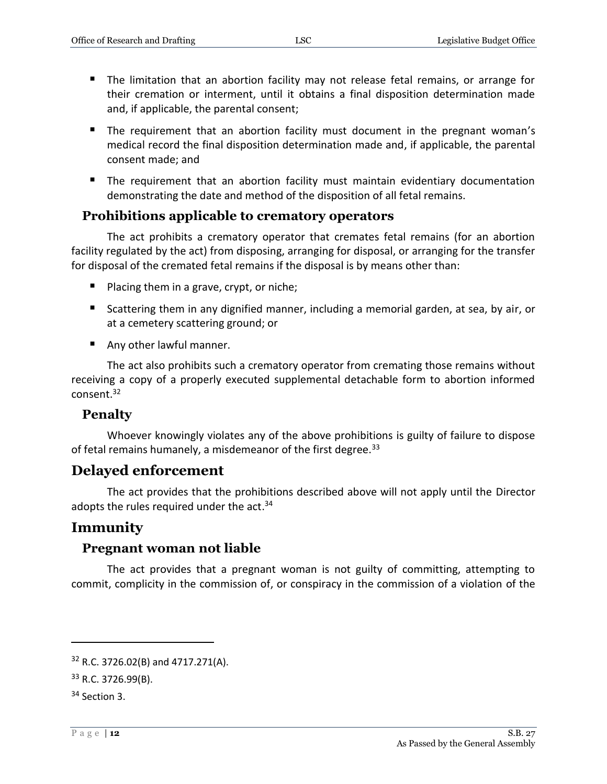- The limitation that an abortion facility may not release fetal remains, or arrange for their cremation or interment, until it obtains a final disposition determination made and, if applicable, the parental consent;
- **The requirement that an abortion facility must document in the pregnant woman's** medical record the final disposition determination made and, if applicable, the parental consent made; and
- The requirement that an abortion facility must maintain evidentiary documentation demonstrating the date and method of the disposition of all fetal remains.

#### <span id="page-11-0"></span>**Prohibitions applicable to crematory operators**

The act prohibits a crematory operator that cremates fetal remains (for an abortion facility regulated by the act) from disposing, arranging for disposal, or arranging for the transfer for disposal of the cremated fetal remains if the disposal is by means other than:

- **Placing them in a grave, crypt, or niche;**
- Scattering them in any dignified manner, including a memorial garden, at sea, by air, or at a cemetery scattering ground; or
- Any other lawful manner.

The act also prohibits such a crematory operator from cremating those remains without receiving a copy of a properly executed supplemental detachable form to abortion informed consent.<sup>32</sup>

#### <span id="page-11-1"></span>**Penalty**

Whoever knowingly violates any of the above prohibitions is guilty of failure to dispose of fetal remains humanely, a misdemeanor of the first degree.<sup>33</sup>

#### <span id="page-11-2"></span>**Delayed enforcement**

The act provides that the prohibitions described above will not apply until the Director adopts the rules required under the act.<sup>34</sup>

#### <span id="page-11-3"></span>**Immunity**

#### <span id="page-11-4"></span>**Pregnant woman not liable**

The act provides that a pregnant woman is not guilty of committing, attempting to commit, complicity in the commission of, or conspiracy in the commission of a violation of the

<sup>32</sup> R.C. 3726.02(B) and 4717.271(A).

<sup>33</sup> R.C. 3726.99(B).

 $34$  Section 3.